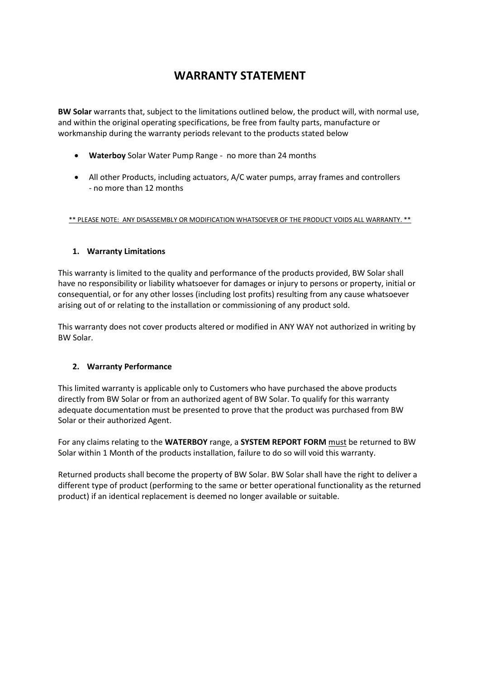# **WARRANTY STATEMENT**

**BW Solar** warrants that, subject to the limitations outlined below, the product will, with normal use, and within the original operating specifications, be free from faulty parts, manufacture or workmanship during the warranty periods relevant to the products stated below

- **Waterboy** Solar Water Pump Range no more than 24 months
- All other Products, including actuators, A/C water pumps, array frames and controllers - no more than 12 months

\*\* PLEASE NOTE: ANY DISASSEMBLY OR MODIFICATION WHATSOEVER OF THE PRODUCT VOIDS ALL WARRANTY. \*\*

#### **1. Warranty Limitations**

This warranty is limited to the quality and performance of the products provided, BW Solar shall have no responsibility or liability whatsoever for damages or injury to persons or property, initial or consequential, or for any other losses (including lost profits) resulting from any cause whatsoever arising out of or relating to the installation or commissioning of any product sold.

This warranty does not cover products altered or modified in ANY WAY not authorized in writing by BW Solar.

#### **2. Warranty Performance**

This limited warranty is applicable only to Customers who have purchased the above products directly from BW Solar or from an authorized agent of BW Solar. To qualify for this warranty adequate documentation must be presented to prove that the product was purchased from BW Solar or their authorized Agent.

For any claims relating to the **WATERBOY** range, a **SYSTEM REPORT FORM** must be returned to BW Solar within 1 Month of the products installation, failure to do so will void this warranty.

Returned products shall become the property of BW Solar. BW Solar shall have the right to deliver a different type of product (performing to the same or better operational functionality as the returned product) if an identical replacement is deemed no longer available or suitable.